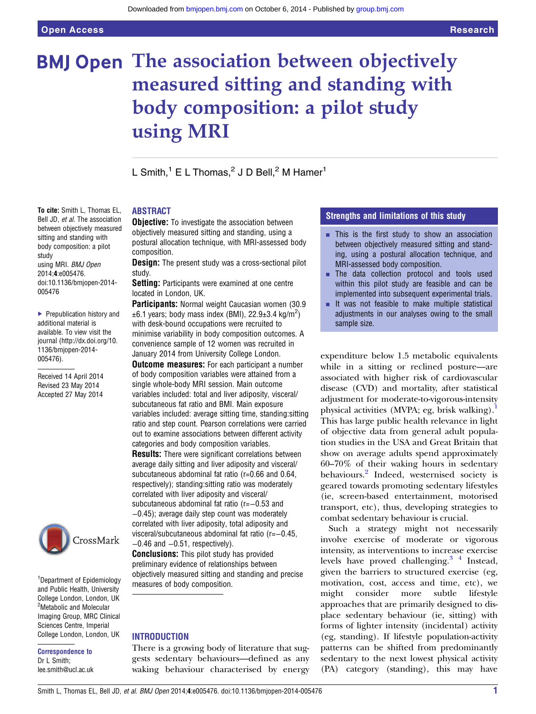To cite: Smith L, Thomas EL, Bell JD, et al. The association between objectively measured sitting and standing with body composition: a pilot

using MRI. BMJ Open 2014;4:e005476.

doi:10.1136/bmjopen-2014-

▶ Prepublication history and additional material is available. To view visit the journal [\(http://dx.doi.org/10.](http://dx.doi.org/10.1136/bmjopen-2014-005476) [1136/bmjopen-2014-](http://dx.doi.org/10.1136/bmjopen-2014-005476)

Received 14 April 2014 Revised 23 May 2014 Accepted 27 May 2014

study

005476

[005476\)](http://dx.doi.org/10.1136/bmjopen-2014-005476).

# **BMJ Open The association between objectively** measured sitting and standing with body composition: a pilot study using MRI

L Smith, $1 \text{ E L}$  Thomas, $2 \text{ J D Bell}, 2 \text{ M Hamer}^1$ 

# ABSTRACT

**Objective:** To investigate the association between objectively measured sitting and standing, using a postural allocation technique, with MRI-assessed body composition.

**Design:** The present study was a cross-sectional pilot study.

Setting: Participants were examined at one centre located in London, UK.

Participants: Normal weight Caucasian women (30.9)  $\pm 6.1$  years; body mass index (BMI), 22.9 $\pm 3.4$  kg/m<sup>2</sup>) with desk-bound occupations were recruited to minimise variability in body composition outcomes. A convenience sample of 12 women was recruited in January 2014 from University College London.

**Outcome measures:** For each participant a number of body composition variables were attained from a single whole-body MRI session. Main outcome variables included: total and liver adiposity, visceral/ subcutaneous fat ratio and BMI. Main exposure variables included: average sitting time, standing:sitting ratio and step count. Pearson correlations were carried out to examine associations between different activity categories and body composition variables.

Results: There were significant correlations between average daily sitting and liver adiposity and visceral/ subcutaneous abdominal fat ratio (r=0.66 and 0.64, respectively); standing:sitting ratio was moderately correlated with liver adiposity and visceral/ subcutaneous abdominal fat ratio (r=−0.53 and −0.45); average daily step count was moderately correlated with liver adiposity, total adiposity and visceral/subcutaneous abdominal fat ratio (r=−0.45,  $-0.46$  and  $-0.51$ , respectively).

**Conclusions:** This pilot study has provided preliminary evidence of relationships between objectively measured sitting and standing and precise measures of body composition.

# **INTRODUCTION**

There is a growing body of literature that suggests sedentary behaviours—defined as any waking behaviour characterised by energy

# Strengths and limitations of this study

- $\blacksquare$  This is the first study to show an association between objectively measured sitting and standing, using a postural allocation technique, and MRI-assessed body composition.
- **The data collection protocol and tools used** within this pilot study are feasible and can be implemented into subsequent experimental trials.
- $\blacksquare$  It was not feasible to make multiple statistical adjustments in our analyses owing to the small sample size.

expenditure below 1.5 metabolic equivalents while in a sitting or reclined posture—are associated with higher risk of cardiovascular disease (CVD) and mortality, after statistical adjustment for moderate-to-vigorous-intensity physical activities (MVPA; eg, brisk walking).<sup>1</sup> This has large public health relevance in light of objective data from general adult population studies in the USA and Great Britain that show on average adults spend approximately 60–70% of their waking hours in sedentary behaviours.<sup>[2](#page-4-0)</sup> Indeed, westernised society is geared towards promoting sedentary lifestyles (ie, screen-based entertainment, motorised transport, etc), thus, developing strategies to combat sedentary behaviour is crucial.

Such a strategy might not necessarily involve exercise of moderate or vigorous intensity, as interventions to increase exercise levels have proved challenging. $3<sup>4</sup>$  Instead, given the barriers to structured exercise (eg, motivation, cost, access and time, etc), we might consider more subtle lifestyle approaches that are primarily designed to displace sedentary behaviour (ie, sitting) with forms of lighter intensity (incidental) activity (eg, standing). If lifestyle population-activity patterns can be shifted from predominantly sedentary to the next lowest physical activity (PA) category (standing), this may have

CrossMark

<sup>1</sup>Department of Epidemiology and Public Health, University College London, London, UK <sup>2</sup>Metabolic and Molecular Imaging Group, MRC Clinical Sciences Centre, Imperial College London, London, UK

Correspondence to Dr L Smith: lee.smith@ucl.ac.uk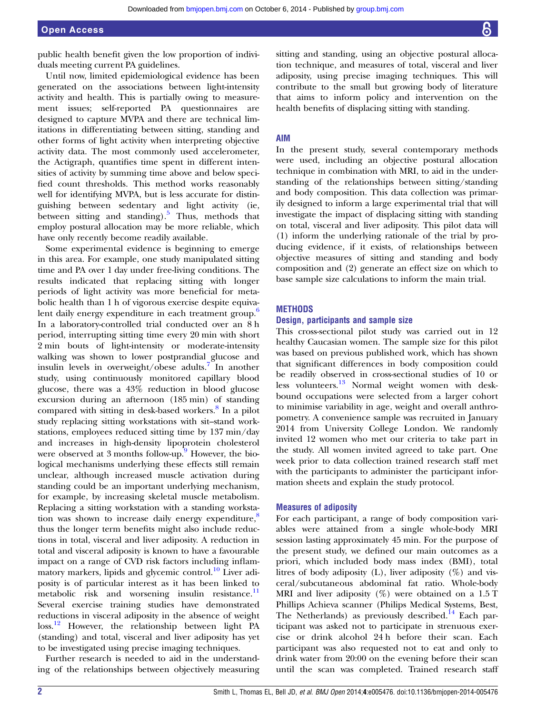public health benefit given the low proportion of individuals meeting current PA guidelines.

Until now, limited epidemiological evidence has been generated on the associations between light-intensity activity and health. This is partially owing to measurement issues; self-reported PA questionnaires are designed to capture MVPA and there are technical limitations in differentiating between sitting, standing and other forms of light activity when interpreting objective activity data. The most commonly used accelerometer, the Actigraph, quantifies time spent in different intensities of activity by summing time above and below specified count thresholds. This method works reasonably well for identifying MVPA, but is less accurate for distinguishing between sedentary and light activity (ie, between sitting and standing).<sup>[5](#page-4-0)</sup> Thus, methods that employ postural allocation may be more reliable, which have only recently become readily available.

Some experimental evidence is beginning to emerge in this area. For example, one study manipulated sitting time and PA over 1 day under free-living conditions. The results indicated that replacing sitting with longer periods of light activity was more beneficial for metabolic health than 1 h of vigorous exercise despite equiva-lent daily energy expenditure in each treatment group.<sup>[6](#page-4-0)</sup> In a laboratory-controlled trial conducted over an 8 h period, interrupting sitting time every 20 min with short 2 min bouts of light-intensity or moderate-intensity walking was shown to lower postprandial glucose and insulin levels in overweight/obese adults.<sup>[7](#page-4-0)</sup> In another study, using continuously monitored capillary blood glucose, there was a 43% reduction in blood glucose excursion during an afternoon (185 min) of standing compared with sitting in desk-based workers.<sup>[8](#page-4-0)</sup> In a pilot study replacing sitting workstations with sit–stand workstations, employees reduced sitting time by 137 min/day and increases in high-density lipoprotein cholesterol were observed at 3 months follow-up. <sup>[9](#page-4-0)</sup> However, the biological mechanisms underlying these effects still remain unclear, although increased muscle activation during standing could be an important underlying mechanism, for example, by increasing skeletal muscle metabolism. Replacing a sitting workstation with a standing workstation was shown to increase daily energy expenditure, $\frac{8}{3}$  $\frac{8}{3}$  $\frac{8}{3}$ thus the longer term benefits might also include reductions in total, visceral and liver adiposity. A reduction in total and visceral adiposity is known to have a favourable impact on a range of CVD risk factors including inflam-matory markers, lipids and glycemic control.<sup>[10](#page-4-0)</sup> Liver adiposity is of particular interest as it has been linked to metabolic risk and worsening insulin resistance. $\frac{11}{11}$  $\frac{11}{11}$  $\frac{11}{11}$ Several exercise training studies have demonstrated reductions in visceral adiposity in the absence of weight loss.<sup>[12](#page-4-0)</sup> However, the relationship between light PA (standing) and total, visceral and liver adiposity has yet to be investigated using precise imaging techniques.

Further research is needed to aid in the understanding of the relationships between objectively measuring sitting and standing, using an objective postural allocation technique, and measures of total, visceral and liver adiposity, using precise imaging techniques. This will

#### AIM

In the present study, several contemporary methods were used, including an objective postural allocation technique in combination with MRI, to aid in the understanding of the relationships between sitting/standing and body composition. This data collection was primarily designed to inform a large experimental trial that will investigate the impact of displacing sitting with standing on total, visceral and liver adiposity. This pilot data will (1) inform the underlying rationale of the trial by producing evidence, if it exists, of relationships between objective measures of sitting and standing and body composition and (2) generate an effect size on which to base sample size calculations to inform the main trial.

contribute to the small but growing body of literature that aims to inform policy and intervention on the health benefits of displacing sitting with standing.

### **METHODS**

#### Design, participants and sample size

This cross-sectional pilot study was carried out in 12 healthy Caucasian women. The sample size for this pilot was based on previous published work, which has shown that significant differences in body composition could be readily observed in cross-sectional studies of 10 or less volunteers.[13](#page-4-0) Normal weight women with deskbound occupations were selected from a larger cohort to minimise variability in age, weight and overall anthropometry. A convenience sample was recruited in January 2014 from University College London. We randomly invited 12 women who met our criteria to take part in the study. All women invited agreed to take part. One week prior to data collection trained research staff met with the participants to administer the participant information sheets and explain the study protocol.

#### Measures of adiposity

For each participant, a range of body composition variables were attained from a single whole-body MRI session lasting approximately 45 min. For the purpose of the present study, we defined our main outcomes as a priori, which included body mass index (BMI), total litres of body adiposity (L), liver adiposity  $(\%)$  and visceral/subcutaneous abdominal fat ratio. Whole-body MRI and liver adiposity  $(\%)$  were obtained on a 1.5 T Phillips Achieva scanner (Philips Medical Systems, Best, The Netherlands) as previously described.<sup>[14](#page-4-0)</sup> Each participant was asked not to participate in strenuous exercise or drink alcohol 24 h before their scan. Each participant was also requested not to eat and only to drink water from 20:00 on the evening before their scan until the scan was completed. Trained research staff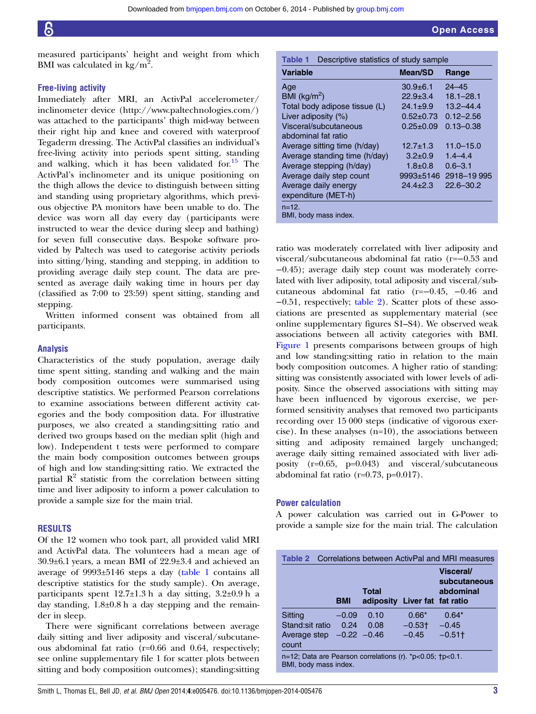measured participants' height and weight from which BMI was calculated in kg/ $m^2$ .

## Free-living activity

Immediately after MRI, an ActivPal accelerometer/ inclinometer device ([http://www.paltechnologies.com/\)](http://www.paltechnologies.com/) was attached to the participants' thigh mid-way between their right hip and knee and covered with waterproof Tegaderm dressing. The ActivPal classifies an individual's free-living activity into periods spent sitting, standing and walking, which it has been validated for. $^{15}$  The ActivPal's inclinometer and its unique positioning on the thigh allows the device to distinguish between sitting and standing using proprietary algorithms, which previous objective PA monitors have been unable to do. The device was worn all day every day (participants were instructed to wear the device during sleep and bathing) for seven full consecutive days. Bespoke software provided by Paltech was used to categorise activity periods into sitting/lying, standing and stepping, in addition to providing average daily step count. The data are presented as average daily waking time in hours per day (classified as 7:00 to 23:59) spent sitting, standing and stepping.

Written informed consent was obtained from all participants.

### Analysis

Characteristics of the study population, average daily time spent sitting, standing and walking and the main body composition outcomes were summarised using descriptive statistics. We performed Pearson correlations to examine associations between different activity categories and the body composition data. For illustrative purposes, we also created a standing:sitting ratio and derived two groups based on the median split (high and low). Independent t tests were performed to compare the main body composition outcomes between groups of high and low standing:sitting ratio. We extracted the partial  $\mathbb{R}^2$  statistic from the correlation between sitting time and liver adiposity to inform a power calculation to provide a sample size for the main trial.

#### RESULTS

Of the 12 women who took part, all provided valid MRI and ActivPal data. The volunteers had a mean age of 30.9±6.1 years, a mean BMI of 22.9±3.4 and achieved an average of 9993±5146 steps a day (table 1 contains all descriptive statistics for the study sample). On average, participants spent  $12.7\pm1.3$  h a day sitting,  $3.2\pm0.9$  h a day standing,  $1.8\pm0.8$  h a day stepping and the remainder in sleep.

There were significant correlations between average daily sitting and liver adiposity and visceral/subcutaneous abdominal fat ratio (r=0.66 and 0.64, respectively; see online supplementary file 1 for scatter plots between sitting and body composition outcomes); standing:sitting

| Descriptive statistics of study sample<br>Table 1 |                 |                       |
|---------------------------------------------------|-----------------|-----------------------|
| <b>Variable</b>                                   | Mean/SD         | Range                 |
| Age                                               | $30.9 \pm 6.1$  | $24 - 45$             |
| BMI ( $kg/m2$ )                                   | $22.9 \pm 3.4$  | $18.1 - 28.1$         |
| Total body adipose tissue (L)                     | $24.1 \pm 9.9$  | $13.2 - 44.4$         |
| Liver adiposity (%)                               | $0.52 \pm 0.73$ | $0.12 - 2.56$         |
| Visceral/subcutaneous                             | $0.25 \pm 0.09$ | $0.13 - 0.38$         |
| abdominal fat ratio                               |                 |                       |
| Average sitting time (h/day)                      | $12.7 \pm 1.3$  | $11.0 - 15.0$         |
| Average standing time (h/day)                     | $3.2 \pm 0.9$   | $1.4 - 4.4$           |
| Average stepping (h/day)                          | $1.8 + 0.8$     | $0.6 - 3.1$           |
| Average daily step count                          |                 | 9993±5146 2918-19 995 |
| Average daily energy                              | $24.4 + 2.3$    | $22.6 - 30.2$         |
| expenditure (MET-h)                               |                 |                       |
| $n = 12$ .                                        |                 |                       |
| BMI, body mass index.                             |                 |                       |

ratio was moderately correlated with liver adiposity and visceral/subcutaneous abdominal fat ratio (r=−0.53 and −0.45); average daily step count was moderately correlated with liver adiposity, total adiposity and visceral/subcutaneous abdominal fat ratio (r=−0.45, −0.46 and −0.51, respectively; table 2). Scatter plots of these associations are presented as [supplementary material](http://bmjopen.bmj.com/lookup/suppl/doi:10.1136/bmjopen-2014-005476/-/DC1) (see online supplementary figures S1–S4). We observed weak associations between all activity categories with BMI. [Figure 1](#page-3-0) presents comparisons between groups of high and low standing:sitting ratio in relation to the main body composition outcomes. A higher ratio of standing: sitting was consistently associated with lower levels of adiposity. Since the observed associations with sitting may have been influenced by vigorous exercise, we performed sensitivity analyses that removed two participants recording over 15 000 steps (indicative of vigorous exercise). In these analyses (n=10), the associations between sitting and adiposity remained largely unchanged; average daily sitting remained associated with liver adiposity (r=0.65, p=0.043) and visceral/subcutaneous abdominal fat ratio (r=0.73, p=0.017).

### Power calculation

A power calculation was carried out in G-Power to provide a sample size for the main trial. The calculation

|                                                                                                           |            |                                               |           | <b>Table 2</b> Correlations between ActivPal and MRI measures |
|-----------------------------------------------------------------------------------------------------------|------------|-----------------------------------------------|-----------|---------------------------------------------------------------|
|                                                                                                           | <b>BMI</b> | <b>Total</b><br>adiposity Liver fat fat ratio |           | <b>Visceral/</b><br>subcutaneous<br>abdominal                 |
| Sitting                                                                                                   | $-0.09$    | 0.10                                          | $0.66*$   | $0.64*$                                                       |
| Stand:sit ratio                                                                                           | 0.24       | 0.08                                          | $-0.53$ t | $-0.45$                                                       |
| Average step $-0.22$ $-0.46$<br>count                                                                     |            |                                               | $-0.45$   | $-0.51$ <sup>+</sup>                                          |
| $n=12$ ; Data are Pearson correlations (r). $\text{*}p<0.05$ ; $\text{+}p<0.1$ .<br>BMI, body mass index. |            |                                               |           |                                                               |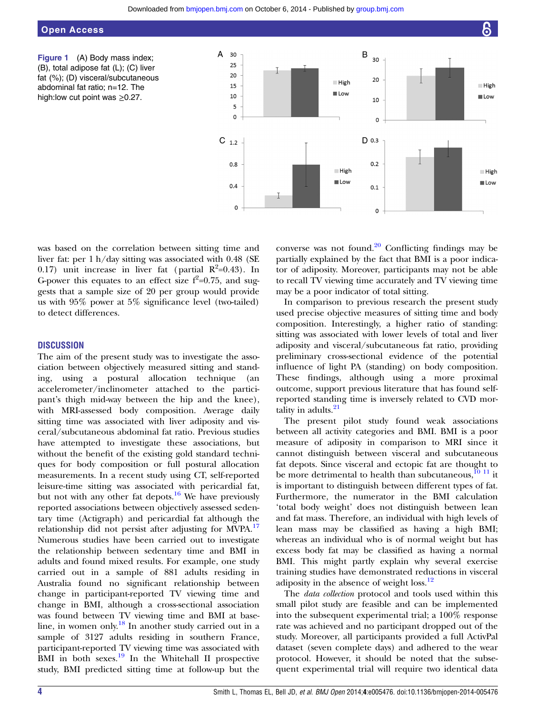# <span id="page-3-0"></span>Open Access

Figure 1 (A) Body mass index; (B), total adipose fat (L); (C) liver fat (%); (D) visceral/subcutaneous abdominal fat ratio; n=12. The high:low cut point was  $\geq 0.27$ .



was based on the correlation between sitting time and liver fat: per 1 h/day sitting was associated with 0.48 (SE 0.17) unit increase in liver fat (partial  $R^2=0.43$ ). In G-power this equates to an effect size  $f^2=0.75$ , and suggests that a sample size of 20 per group would provide us with 95% power at 5% significance level (two-tailed) to detect differences.

# **DISCUSSION**

The aim of the present study was to investigate the association between objectively measured sitting and standing, using a postural allocation technique (an accelerometer/inclinometer attached to the participant's thigh mid-way between the hip and the knee), with MRI-assessed body composition. Average daily sitting time was associated with liver adiposity and visceral/subcutaneous abdominal fat ratio. Previous studies have attempted to investigate these associations, but without the benefit of the existing gold standard techniques for body composition or full postural allocation measurements. In a recent study using CT, self-reported leisure-time sitting was associated with pericardial fat, but not with any other fat depots.<sup>16</sup> We have previously reported associations between objectively assessed sedentary time (Actigraph) and pericardial fat although the relationship did not persist after adjusting for MVPA.<sup>[17](#page-4-0)</sup> Numerous studies have been carried out to investigate the relationship between sedentary time and BMI in adults and found mixed results. For example, one study carried out in a sample of 881 adults residing in Australia found no significant relationship between change in participant-reported TV viewing time and change in BMI, although a cross-sectional association was found between TV viewing time and BMI at baseline, in women only.<sup>18</sup> In another study carried out in a sample of 3127 adults residing in southern France, participant-reported TV viewing time was associated with  $\overline{BMI}$  in both sexes.<sup>[19](#page-4-0)</sup> In the Whitehall II prospective study, BMI predicted sitting time at follow-up but the

converse was not found. $20$  Conflicting findings may be partially explained by the fact that BMI is a poor indicator of adiposity. Moreover, participants may not be able to recall TV viewing time accurately and TV viewing time may be a poor indicator of total sitting.

In comparison to previous research the present study used precise objective measures of sitting time and body composition. Interestingly, a higher ratio of standing: sitting was associated with lower levels of total and liver adiposity and visceral/subcutaneous fat ratio, providing preliminary cross-sectional evidence of the potential influence of light PA (standing) on body composition. These findings, although using a more proximal outcome, support previous literature that has found selfreported standing time is inversely related to CVD mortality in adults. $21$ 

The present pilot study found weak associations between all activity categories and BMI. BMI is a poor measure of adiposity in comparison to MRI since it cannot distinguish between visceral and subcutaneous fat depots. Since visceral and ectopic fat are thought to be more detrimental to health than subcutaneous, $^{10}$  <sup>11</sup> it is important to distinguish between different types of fat. Furthermore, the numerator in the BMI calculation 'total body weight' does not distinguish between lean and fat mass. Therefore, an individual with high levels of lean mass may be classified as having a high BMI; whereas an individual who is of normal weight but has excess body fat may be classified as having a normal BMI. This might partly explain why several exercise training studies have demonstrated reductions in visceral adiposity in the absence of weight loss.<sup>[12](#page-4-0)</sup>

The data collection protocol and tools used within this small pilot study are feasible and can be implemented into the subsequent experimental trial; a 100% response rate was achieved and no participant dropped out of the study. Moreover, all participants provided a full ActivPal dataset (seven complete days) and adhered to the wear protocol. However, it should be noted that the subsequent experimental trial will require two identical data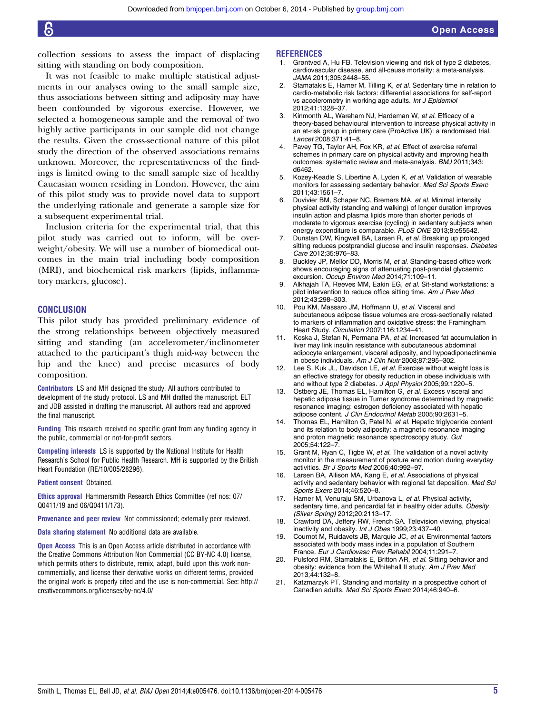<span id="page-4-0"></span>collection sessions to assess the impact of displacing sitting with standing on body composition.

It was not feasible to make multiple statistical adjustments in our analyses owing to the small sample size, thus associations between sitting and adiposity may have been confounded by vigorous exercise. However, we selected a homogeneous sample and the removal of two highly active participants in our sample did not change the results. Given the cross-sectional nature of this pilot study the direction of the observed associations remains unknown. Moreover, the representativeness of the findings is limited owing to the small sample size of healthy Caucasian women residing in London. However, the aim of this pilot study was to provide novel data to support the underlying rationale and generate a sample size for a subsequent experimental trial.

Inclusion criteria for the experimental trial, that this pilot study was carried out to inform, will be overweight/obesity. We will use a number of biomedical outcomes in the main trial including body composition (MRI), and biochemical risk markers (lipids, inflammatory markers, glucose).

#### **CONCLUSION**

This pilot study has provided preliminary evidence of the strong relationships between objectively measured sitting and standing (an accelerometer/inclinometer attached to the participant's thigh mid-way between the hip and the knee) and precise measures of body composition.

Contributors LS and MH designed the study. All authors contributed to development of the study protocol. LS and MH drafted the manuscript. ELT and JDB assisted in drafting the manuscript. All authors read and approved the final manuscript.

Funding This research received no specific grant from any funding agency in the public, commercial or not-for-profit sectors.

Competing interests LS is supported by the National Institute for Health Research's School for Public Health Research. MH is supported by the British Heart Foundation (RE/10/005/28296).

Patient consent Obtained.

Ethics approval Hammersmith Research Ethics Committee (ref nos: 07/ Q0411/19 and 06/Q0411/173).

Provenance and peer review Not commissioned; externally peer reviewed.

Data sharing statement No additional data are available.

Open Access This is an Open Access article distributed in accordance with the Creative Commons Attribution Non Commercial (CC BY-NC 4.0) license, which permits others to distribute, remix, adapt, build upon this work noncommercially, and license their derivative works on different terms, provided the original work is properly cited and the use is non-commercial. See: [http://](http://creativecommons.org/licenses/by-nc/4.0/) [creativecommons.org/licenses/by-nc/4.0/](http://creativecommons.org/licenses/by-nc/4.0/)

#### **REFERENCES**

- 1. Grøntved A, Hu FB. Television viewing and risk of type 2 diabetes, cardiovascular disease, and all-cause mortality: a meta-analysis. JAMA 2011;305:2448–55.
- 2. Stamatakis E, Hamer M, Tilling K, et al. Sedentary time in relation to cardio-metabolic risk factors: differential associations for self-report vs accelerometry in working age adults. Int J Epidemiol 2012;41:1328–37.
- 3. Kinmonth AL, Wareham NJ, Hardeman W, et al. Efficacy of a theory-based behavioural intervention to increase physical activity in an at-risk group in primary care (ProActive UK): a randomised trial. Lancet 2008;371:41–8.
- 4. Pavey TG, Taylor AH, Fox KR, et al. Effect of exercise referral schemes in primary care on physical activity and improving health outcomes: systematic review and meta-analysis. BMJ 2011;343: d6462.
- 5. Kozey-Keadle S, Libertine A, Lyden K, et al. Validation of wearable monitors for assessing sedentary behavior. Med Sci Sports Exerc 2011;43:1561–7.
- Duvivier BM, Schaper NC, Bremers MA, et al. Minimal intensity physical activity (standing and walking) of longer duration improves insulin action and plasma lipids more than shorter periods of moderate to vigorous exercise (cycling) in sedentary subjects when energy expenditure is comparable. PLoS ONE 2013;8:e55542.
- 7. Dunstan DW, Kingwell BA, Larsen R, et al. Breaking up prolonged sitting reduces postprandial glucose and insulin responses. Diabetes Care 2012;35:976–83.
- 8. Buckley JP, Mellor DD, Morris M, et al. Standing-based office work shows encouraging signs of attenuating post-prandial glycaemic excursion. Occup Environ Med 2014;71:109–11.
- 9. Alkhajah TA, Reeves MM, Eakin EG, et al. Sit-stand workstations: a pilot intervention to reduce office sitting time. Am J Prev Med 2012;43:298–303.
- 10. Pou KM, Massaro JM, Hoffmann U, et al. Visceral and subcutaneous adipose tissue volumes are cross-sectionally related to markers of inflammation and oxidative stress: the Framingham Heart Study. Circulation 2007;116:1234–41.
- 11. Koska J, Stefan N, Permana PA, et al. Increased fat accumulation in liver may link insulin resistance with subcutaneous abdominal adipocyte enlargement, visceral adiposity, and hypoadiponectinemia in obese individuals. Am J Clin Nutr 2008;87:295-302.
- 12. Lee S, Kuk JL, Davidson LE, et al. Exercise without weight loss is an effective strategy for obesity reduction in obese individuals with and without type 2 diabetes. J Appl Physiol 2005;99:1220-5.
- 13. Ostberg JE, Thomas EL, Hamilton G, et al. Excess visceral and hepatic adipose tissue in Turner syndrome determined by magnetic resonance imaging: estrogen deficiency associated with hepatic adipose content. J Clin Endocrinol Metab 2005;90:2631–5.
- 14. Thomas EL, Hamilton G, Patel N, et al. Hepatic triglyceride content and its relation to body adiposity: a magnetic resonance imaging and proton magnetic resonance spectroscopy study. Gut 2005;54:122–7.
- 15. Grant M, Ryan C, Tigbe W, et al. The validation of a novel activity monitor in the measurement of posture and motion during everyday activities. Br J Sports Med 2006;40:992–97.
- 16. Larsen BA, Allison MA, Kang E, et al. Associations of physical activity and sedentary behavior with regional fat deposition. Med Sci Sports Exerc 2014;46:520–8.
- 17. Hamer M, Venuraju SM, Urbanova L, et al. Physical activity, sedentary time, and pericardial fat in healthy older adults. Obesity (Silver Spring) 2012;20:2113–17.
- 18. Crawford DA, Jeffery RW, French SA. Television viewing, physical inactivity and obesity. Int J Obes 1999;23:437–40.
- 19. Cournot M, Ruidavets JB, Marquie JC, et al. Environmental factors associated with body mass index in a population of Southern France. Eur J Cardiovasc Prev Rehabil 2004;11:291–7.
- 20. Pulsford RM, Stamatakis E, Britton AR, et al. Sitting behavior and obesity: evidence from the Whitehall II study. Am J Prev Med 2013;44:132–8.
- 21. Katzmarzyk PT. Standing and mortality in a prospective cohort of Canadian adults. Med Sci Sports Exerc 2014;46:940–6.